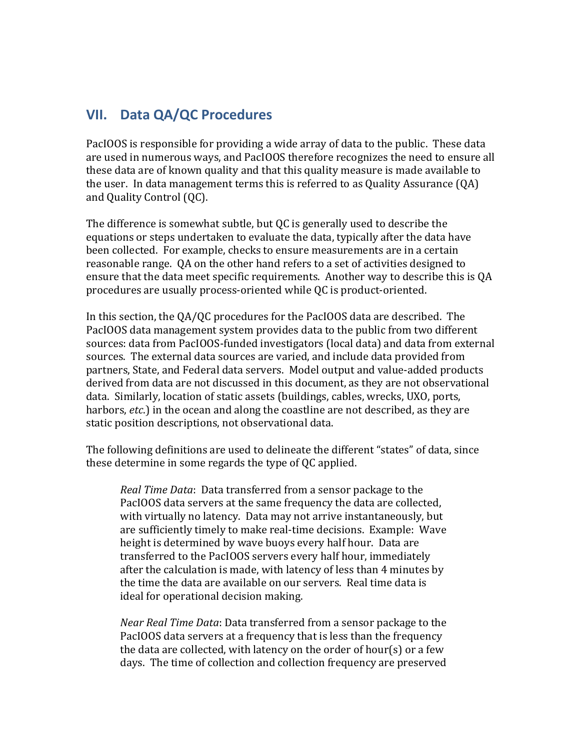# **VII. Data QA/QC Procedures**

PacIOOS is responsible for providing a wide array of data to the public. These data are used in numerous ways, and PacIOOS therefore recognizes the need to ensure all these data are of known quality and that this quality measure is made available to the user. In data management terms this is referred to as Quality Assurance  $(OA)$ and Quality Control (QC).

The difference is somewhat subtle, but QC is generally used to describe the equations or steps undertaken to evaluate the data, typically after the data have been collected. For example, checks to ensure measurements are in a certain reasonable range. QA on the other hand refers to a set of activities designed to ensure that the data meet specific requirements. Another way to describe this is OA procedures are usually process-oriented while QC is product-oriented.

In this section, the QA/QC procedures for the PacIOOS data are described. The PacIOOS data management system provides data to the public from two different sources: data from PacIOOS-funded investigators (local data) and data from external sources. The external data sources are varied, and include data provided from partners, State, and Federal data servers. Model output and value-added products derived from data are not discussed in this document, as they are not observational data. Similarly, location of static assets (buildings, cables, wrecks, UXO, ports, harbors, *etc*.) in the ocean and along the coastline are not described, as they are static position descriptions, not observational data.

The following definitions are used to delineate the different "states" of data, since these determine in some regards the type of QC applied.

*Real Time Data*: Data transferred from a sensor package to the PacIOOS data servers at the same frequency the data are collected, with virtually no latency. Data may not arrive instantaneously, but are sufficiently timely to make real-time decisions. Example: Wave height is determined by wave buoys every half hour. Data are transferred to the PacIOOS servers every half hour, immediately after the calculation is made, with latency of less than 4 minutes by the time the data are available on our servers. Real time data is ideal for operational decision making.

*Near Real Time Data*: Data transferred from a sensor package to the PacIOOS data servers at a frequency that is less than the frequency the data are collected, with latency on the order of hour(s) or a few days. The time of collection and collection frequency are preserved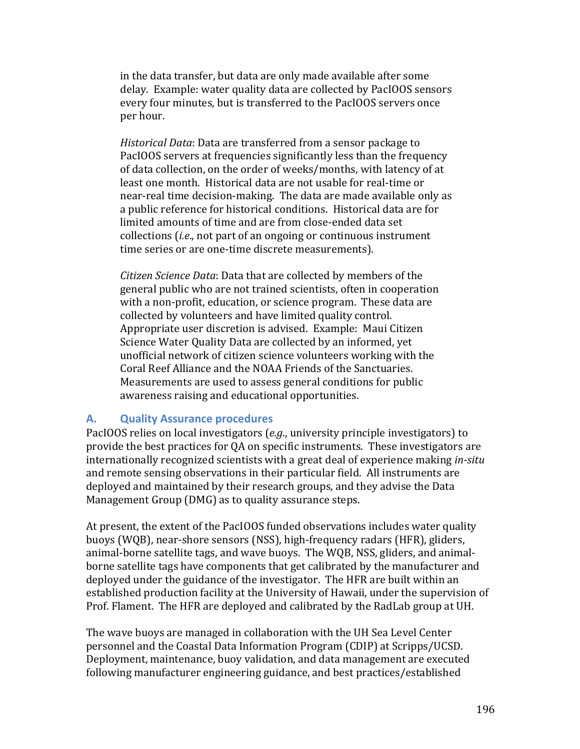in the data transfer, but data are only made available after some delay. Example: water quality data are collected by PacIOOS sensors every four minutes, but is transferred to the PacIOOS servers once per hour.

*Historical Data*: Data are transferred from a sensor package to PacIOOS servers at frequencies significantly less than the frequency of data collection, on the order of weeks/months, with latency of at least one month. Historical data are not usable for real-time or near-real time decision-making. The data are made available only as a public reference for historical conditions. Historical data are for limited amounts of time and are from close-ended data set collections (*i.e.*, not part of an ongoing or continuous instrument time series or are one-time discrete measurements).

*Citizen Science Data*: Data that are collected by members of the general public who are not trained scientists, often in cooperation with a non-profit, education, or science program. These data are collected by volunteers and have limited quality control. Appropriate user discretion is advised. Example: Maui Citizen Science Water Quality Data are collected by an informed, yet unofficial network of citizen science volunteers working with the Coral Reef Alliance and the NOAA Friends of the Sanctuaries. Measurements are used to assess general conditions for public awareness raising and educational opportunities.

#### **A. Quality Assurance procedures**

PacIOOS relies on local investigators (*e.g.*, university principle investigators) to provide the best practices for QA on specific instruments. These investigators are internationally recognized scientists with a great deal of experience making *in-situ* and remote sensing observations in their particular field. All instruments are deployed and maintained by their research groups, and they advise the Data Management Group (DMG) as to quality assurance steps.

At present, the extent of the PacIOOS funded observations includes water quality buoys (WQB), near-shore sensors (NSS), high-frequency radars (HFR), gliders, animal-borne satellite tags, and wave buoys. The WQB, NSS, gliders, and animalborne satellite tags have components that get calibrated by the manufacturer and deployed under the guidance of the investigator. The HFR are built within an established production facility at the University of Hawaii, under the supervision of Prof. Flament. The HFR are deployed and calibrated by the RadLab group at UH.

The wave buoys are managed in collaboration with the UH Sea Level Center personnel and the Coastal Data Information Program (CDIP) at Scripps/UCSD. Deployment, maintenance, buoy validation, and data management are executed following manufacturer engineering guidance, and best practices/established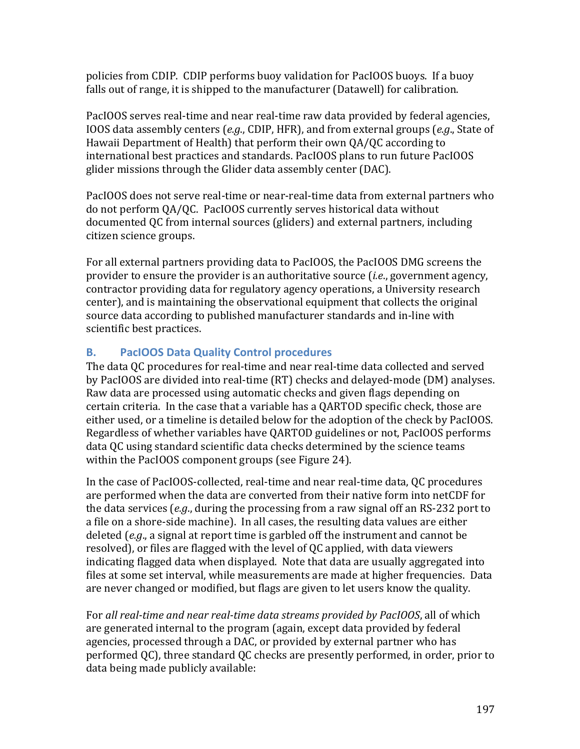policies from CDIP. CDIP performs buoy validation for PacIOOS buoys. If a buoy falls out of range, it is shipped to the manufacturer (Datawell) for calibration.

PacIOOS serves real-time and near real-time raw data provided by federal agencies, IOOS data assembly centers (*e.g.*, CDIP, HFR), and from external groups (*e.g.*, State of Hawaii Department of Health) that perform their own QA/QC according to international best practices and standards. PacIOOS plans to run future PacIOOS glider missions through the Glider data assembly center (DAC).

PacIOOS does not serve real-time or near-real-time data from external partners who do not perform OA/OC. PacIOOS currently serves historical data without documented QC from internal sources (gliders) and external partners, including citizen science groups. 

For all external partners providing data to PacIOOS, the PacIOOS DMG screens the provider to ensure the provider is an authoritative source *(i.e., government agency,* contractor providing data for regulatory agency operations, a University research center), and is maintaining the observational equipment that collects the original source data according to published manufacturer standards and in-line with scientific best practices.

# **B. PacIOOS Data Quality Control procedures**

The data QC procedures for real-time and near real-time data collected and served by PacIOOS are divided into real-time (RT) checks and delayed-mode (DM) analyses. Raw data are processed using automatic checks and given flags depending on certain criteria. In the case that a variable has a QARTOD specific check, those are either used, or a timeline is detailed below for the adoption of the check by PacIOOS. Regardless of whether variables have QARTOD guidelines or not, PacIOOS performs data QC using standard scientific data checks determined by the science teams within the PacIOOS component groups (see Figure 24).

In the case of PacIOOS-collected, real-time and near real-time data, QC procedures are performed when the data are converted from their native form into netCDF for the data services  $(e.g.,$  during the processing from a raw signal off an RS-232 port to a file on a shore-side machine). In all cases, the resulting data values are either deleted (*e.g.*, a signal at report time is garbled off the instrument and cannot be resolved), or files are flagged with the level of OC applied, with data viewers indicating flagged data when displayed. Note that data are usually aggregated into files at some set interval, while measurements are made at higher frequencies. Data are never changed or modified, but flags are given to let users know the quality.

For all real-time and near real-time data streams provided by PacIOOS, all of which are generated internal to the program (again, except data provided by federal agencies, processed through a DAC, or provided by external partner who has performed QC), three standard QC checks are presently performed, in order, prior to data being made publicly available: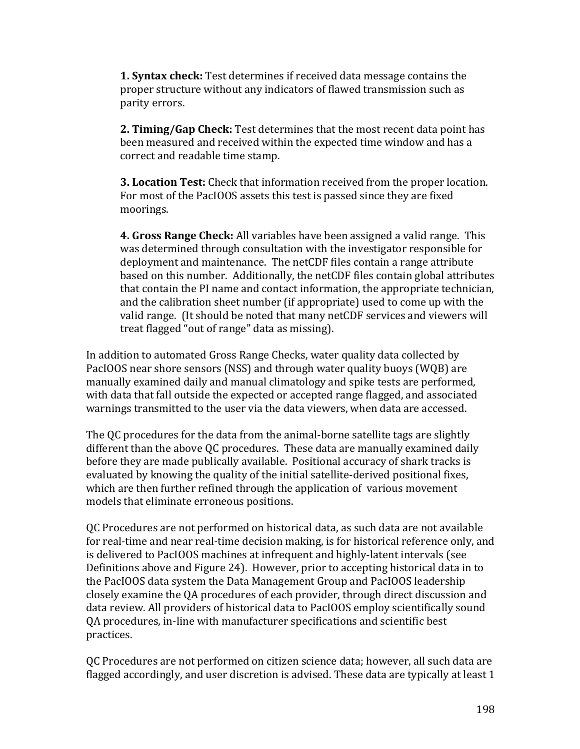**1. Syntax check:** Test determines if received data message contains the proper structure without any indicators of flawed transmission such as parity errors.

**2. Timing/Gap Check:** Test determines that the most recent data point has been measured and received within the expected time window and has a correct and readable time stamp.

**3. Location Test:** Check that information received from the proper location. For most of the PacIOOS assets this test is passed since they are fixed moorings.

**4. Gross Range Check:** All variables have been assigned a valid range. This was determined through consultation with the investigator responsible for deployment and maintenance. The netCDF files contain a range attribute based on this number. Additionally, the netCDF files contain global attributes that contain the PI name and contact information, the appropriate technician, and the calibration sheet number (if appropriate) used to come up with the valid range. (It should be noted that many netCDF services and viewers will treat flagged "out of range" data as missing).

In addition to automated Gross Range Checks, water quality data collected by PacIOOS near shore sensors (NSS) and through water quality buoys (WQB) are manually examined daily and manual climatology and spike tests are performed, with data that fall outside the expected or accepted range flagged, and associated warnings transmitted to the user via the data viewers, when data are accessed.

The QC procedures for the data from the animal-borne satellite tags are slightly different than the above OC procedures. These data are manually examined daily before they are made publically available. Positional accuracy of shark tracks is evaluated by knowing the quality of the initial satellite-derived positional fixes, which are then further refined through the application of various movement models that eliminate erroneous positions.

QC Procedures are not performed on historical data, as such data are not available for real-time and near real-time decision making, is for historical reference only, and is delivered to PacIOOS machines at infrequent and highly-latent intervals (see Definitions above and Figure 24). However, prior to accepting historical data in to the PacIOOS data system the Data Management Group and PacIOOS leadership closely examine the QA procedures of each provider, through direct discussion and data review. All providers of historical data to PacIOOS employ scientifically sound OA procedures, in-line with manufacturer specifications and scientific best practices.

OC Procedures are not performed on citizen science data; however, all such data are flagged accordingly, and user discretion is advised. These data are typically at least 1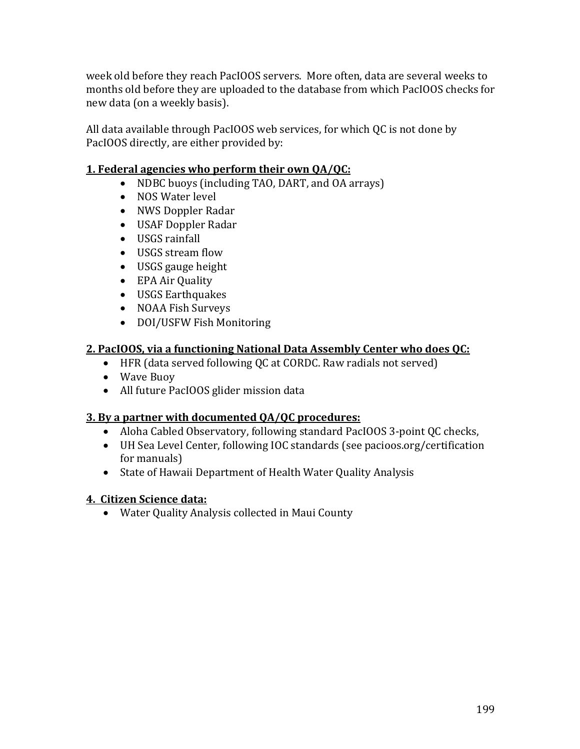week old before they reach PacIOOS servers. More often, data are several weeks to months old before they are uploaded to the database from which PacIOOS checks for new data (on a weekly basis).

All data available through PacIOOS web services, for which QC is not done by PacIOOS directly, are either provided by:

#### **1. Federal agencies who perform their own QA/QC:**

- NDBC buoys (including TAO, DART, and OA arrays)
- NOS Water level
- NWS Doppler Radar
- USAF Doppler Radar
- USGS rainfall
- USGS stream flow
- USGS gauge height
- EPA Air Quality
- USGS Earthquakes
- NOAA Fish Surveys
- DOI/USFW Fish Monitoring

#### **2. PacIOOS, via a functioning National Data Assembly Center who does QC:**

- HFR (data served following QC at CORDC. Raw radials not served)
- Wave Buoy
- All future PacIOOS glider mission data

#### **3.** By a partner with documented QA/QC procedures:

- Aloha Cabled Observatory, following standard PacIOOS 3-point QC checks,
- UH Sea Level Center, following IOC standards (see pacioos.org/certification for manuals)
- State of Hawaii Department of Health Water Quality Analysis

#### **4. Citizen Science data:**

• Water Quality Analysis collected in Maui County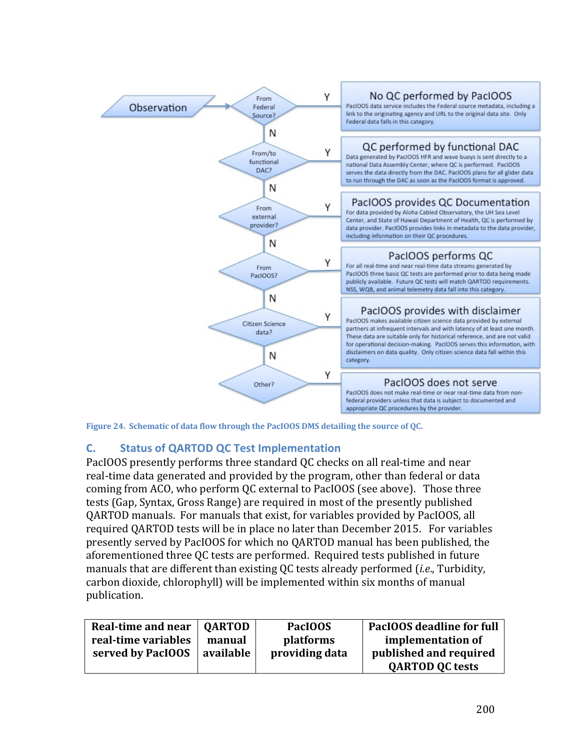

Figure 24. Schematic of data flow through the PacIOOS DMS detailing the source of QC.

## **C. Status of QARTOD QC Test Implementation**

PacIOOS presently performs three standard OC checks on all real-time and near real-time data generated and provided by the program, other than federal or data coming from ACO, who perform QC external to PacIOOS (see above). Those three tests (Gap, Syntax, Gross Range) are required in most of the presently published QARTOD manuals. For manuals that exist, for variables provided by PacIOOS, all required QARTOD tests will be in place no later than December 2015. For variables presently served by PacIOOS for which no QARTOD manual has been published, the aforementioned three QC tests are performed. Required tests published in future manuals that are different than existing OC tests already performed *(i.e.*, Turbidity, carbon dioxide, chlorophyll) will be implemented within six months of manual publication.

| Real-time and near  | <b>OARTOD</b> | PacIOOS        | PacIOOS deadline for full |
|---------------------|---------------|----------------|---------------------------|
| real-time variables | manual        | platforms      | implementation of         |
| served by PacIOOS   | available     | providing data | published and required    |
|                     |               |                | <b>QARTOD QC tests</b>    |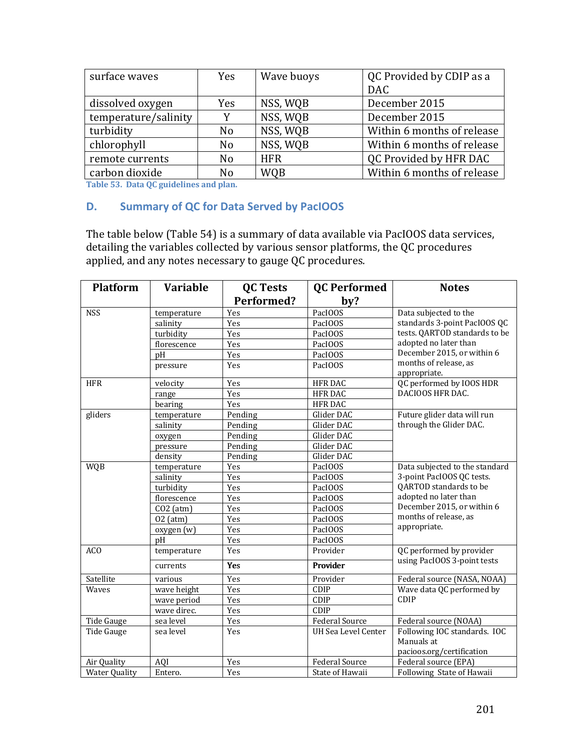| surface waves        | <b>Yes</b>     | Wave buoys | QC Provided by CDIP as a<br><b>DAC</b> |  |  |
|----------------------|----------------|------------|----------------------------------------|--|--|
|                      |                |            | December 2015                          |  |  |
| dissolved oxygen     | Yes            | NSS, WQB   |                                        |  |  |
| temperature/salinity |                | NSS, WQB   | December 2015                          |  |  |
| turbidity            | N <sub>0</sub> | NSS, WQB   | Within 6 months of release             |  |  |
| chlorophyll          | N <sub>o</sub> | NSS, WQB   | Within 6 months of release             |  |  |
| remote currents      | N <sub>o</sub> | <b>HFR</b> | QC Provided by HFR DAC                 |  |  |
| carbon dioxide       | N <sub>o</sub> | <b>WOB</b> | Within 6 months of release             |  |  |

**Table 53. Data QC guidelines and plan.** 

#### **D. Summary of QC for Data Served by PacIOOS**

The table below (Table 54) is a summary of data available via PacIOOS data services, detailing the variables collected by various sensor platforms, the QC procedures applied, and any notes necessary to gauge QC procedures.

| <b>Platform</b>      | <b>Variable</b> | <b>QC Tests</b>   | <b>QC</b> Performed        | <b>Notes</b>                                                            |
|----------------------|-----------------|-------------------|----------------------------|-------------------------------------------------------------------------|
|                      |                 | <b>Performed?</b> | by?                        |                                                                         |
| <b>NSS</b>           | temperature     | Yes               | PacIOOS                    | Data subjected to the                                                   |
|                      | salinity        | Yes               | PacIOOS                    | standards 3-point PacIOOS QC                                            |
|                      | turbidity       | Yes               | PacIOOS                    | tests. QARTOD standards to be                                           |
|                      | florescence     | Yes               | PacIOOS                    | adopted no later than                                                   |
|                      | pH              | Yes               | PacIOOS                    | December 2015, or within 6                                              |
|                      | pressure        | Yes               | PacIOOS                    | months of release, as<br>appropriate.                                   |
| <b>HFR</b>           | velocity        | Yes               | <b>HFR DAC</b>             | QC performed by IOOS HDR                                                |
|                      | range           | Yes               | <b>HFR DAC</b>             | DACIOOS HFR DAC.                                                        |
|                      | bearing         | Yes               | <b>HFR DAC</b>             |                                                                         |
| gliders              | temperature     | Pending           | Glider DAC                 | Future glider data will run                                             |
|                      | salinity        | Pending           | Glider DAC                 | through the Glider DAC.                                                 |
|                      | oxygen          | Pending           | Glider DAC                 |                                                                         |
|                      | pressure        | Pending           | Glider DAC                 |                                                                         |
|                      | density         | Pending           | Glider DAC                 |                                                                         |
| <b>WQB</b>           | temperature     | Yes               | PacIOOS                    | Data subjected to the standard                                          |
|                      | salinity        | Yes               | PacIOOS                    | 3-point PacIOOS QC tests.                                               |
|                      | turbidity       | Yes               | PacIOOS                    | QARTOD standards to be                                                  |
|                      | florescence     | Yes               | PacIOOS                    | adopted no later than                                                   |
|                      | $CO2$ (atm)     | Yes               | PacIOOS                    | December 2015, or within 6                                              |
|                      | $02$ (atm)      | Yes               | PacIOOS                    | months of release, as                                                   |
|                      | oxygen (w)      | Yes               | PacIOOS                    | appropriate.                                                            |
|                      | pH              | Yes               | PacIOOS                    |                                                                         |
| <b>ACO</b>           | temperature     | Yes               | Provider                   | QC performed by provider                                                |
|                      | currents        | <b>Yes</b>        | Provider                   | using PacIOOS 3-point tests                                             |
| Satellite            | various         | Yes               | Provider                   | Federal source (NASA, NOAA)                                             |
| Waves                | wave height     | Yes               | CDIP                       | Wave data QC performed by                                               |
|                      | wave period     | Yes               | CDIP                       | CDIP                                                                    |
|                      | wave direc.     | Yes               | CDIP                       |                                                                         |
| Tide Gauge           | sea level       | Yes               | <b>Federal Source</b>      | Federal source (NOAA)                                                   |
| Tide Gauge           | sea level       | Yes               | <b>UH Sea Level Center</b> | Following IOC standards. IOC<br>Manuals at<br>pacioos.org/certification |
| Air Quality          | <b>AQI</b>      | Yes               | <b>Federal Source</b>      | Federal source (EPA)                                                    |
| <b>Water Quality</b> | Entero.         | Yes               | State of Hawaii            | Following State of Hawaii                                               |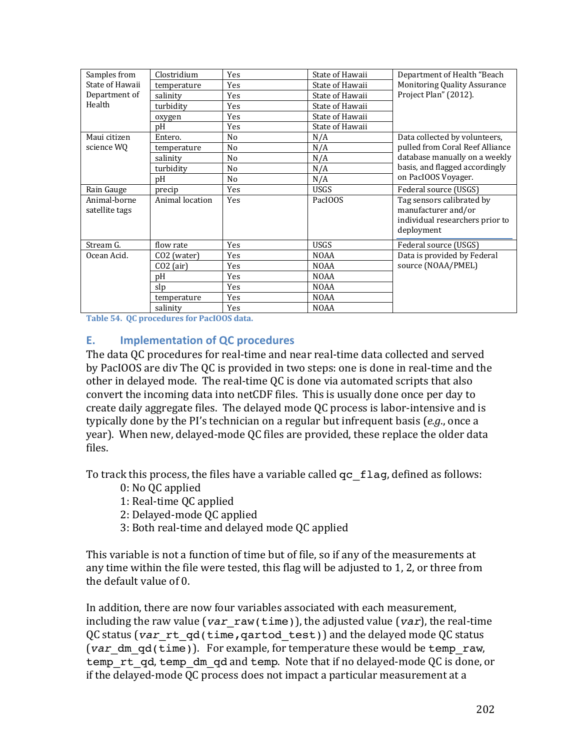| Samples from                   | Clostridium             | Yes            | State of Hawaii | Department of Health "Beach                                                                       |
|--------------------------------|-------------------------|----------------|-----------------|---------------------------------------------------------------------------------------------------|
| State of Hawaii                | temperature             | Yes            | State of Hawaii | <b>Monitoring Quality Assurance</b>                                                               |
| Department of                  | salinity                | Yes            | State of Hawaii | Project Plan" (2012).                                                                             |
| Health                         | turbidity               | Yes            | State of Hawaii |                                                                                                   |
|                                | oxygen                  | Yes            | State of Hawaii |                                                                                                   |
|                                | рH                      | Yes            | State of Hawaii |                                                                                                   |
| Maui citizen                   | Entero.                 | No             | N/A             | Data collected by volunteers,                                                                     |
| science WQ                     | temperature             | No             | N/A             | pulled from Coral Reef Alliance                                                                   |
|                                | salinity                | No             | N/A             | database manually on a weekly                                                                     |
|                                | turbidity               | N <sub>0</sub> | N/A             | basis, and flagged accordingly                                                                    |
|                                | рH                      | N <sub>0</sub> | N/A             | on PacIOOS Voyager.                                                                               |
| Rain Gauge                     | precip                  | Yes            | <b>USGS</b>     | Federal source (USGS)                                                                             |
| Animal-borne<br>satellite tags | Animal location         | Yes            | PacIOOS         | Tag sensors calibrated by<br>manufacturer and/or<br>individual researchers prior to<br>deployment |
| Stream G.                      | flow rate               | Yes            | <b>USGS</b>     | Federal source (USGS)                                                                             |
| Ocean Acid.                    | CO <sub>2</sub> (water) | Yes            | <b>NOAA</b>     | Data is provided by Federal                                                                       |
|                                | $CO2$ (air)             | Yes            | <b>NOAA</b>     | source (NOAA/PMEL)                                                                                |
|                                | pH                      | Yes            | <b>NOAA</b>     |                                                                                                   |
|                                | slp                     | Yes            | <b>NOAA</b>     |                                                                                                   |
|                                | temperature             | Yes            | <b>NOAA</b>     |                                                                                                   |
|                                | salinity                | Yes            | <b>NOAA</b>     |                                                                                                   |

Table 54. QC procedures for PacIOOS data.

#### **E. Implementation of QC procedures**

The data OC procedures for real-time and near real-time data collected and served by PacIOOS are div The QC is provided in two steps: one is done in real-time and the other in delayed mode. The real-time OC is done via automated scripts that also convert the incoming data into netCDF files. This is usually done once per day to create daily aggregate files. The delayed mode QC process is labor-intensive and is typically done by the PI's technician on a regular but infrequent basis (e.g., once a year). When new, delayed-mode QC files are provided, these replace the older data files.

To track this process, the files have a variable called  $q\sigma$   $\epsilon$  flag, defined as follows:

- 0: No QC applied
- 1: Real-time QC applied
- 2: Delayed-mode QC applied
- 3: Both real-time and delayed mode QC applied

This variable is not a function of time but of file, so if any of the measurements at any time within the file were tested, this flag will be adjusted to 1, 2, or three from the default value of 0.

In addition, there are now four variables associated with each measurement, including the raw value  $\left(\text{var}\,\text{raw}(\text{time})\right)$ , the adjusted value  $\left(\text{var}\right)$ , the real-time QC status (var rt qd(time, qartod test)) and the delayed mode QC status (*var* dm qd(time)). For example, for temperature these would be temp raw, temp rt qd, temp dm qd and temp. Note that if no delayed-mode QC is done, or if the delayed-mode QC process does not impact a particular measurement at a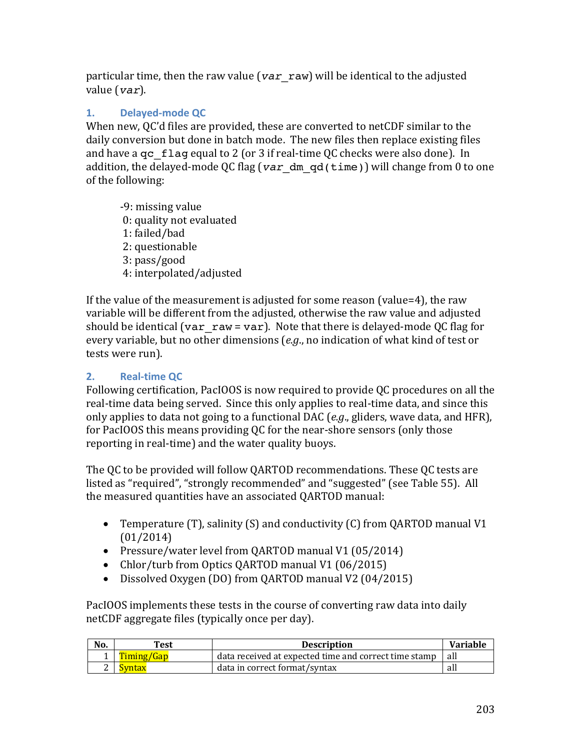particular time, then the raw value ( $var$  raw) will be identical to the adjusted value (*var*).

# **1. Delayed-mode QC**

When new, QC'd files are provided, these are converted to netCDF similar to the daily conversion but done in batch mode. The new files then replace existing files and have a  $qc$  flag equal to 2 (or 3 if real-time QC checks were also done). In addition, the delayed-mode QC flag ( $var$  dm  $gd(time)$ ) will change from 0 to one of the following:

-9: missing value 0: quality not evaluated 1: failed/bad 2: questionable 3: pass/good 4: interpolated/adjusted

If the value of the measurement is adjusted for some reason (value=4), the raw variable will be different from the adjusted, otherwise the raw value and adjusted should be identical (var\_raw = var). Note that there is delayed-mode QC flag for every variable, but no other dimensions (*e.g.*, no indication of what kind of test or tests were run).

# **2. Real-time QC**

Following certification, PacIOOS is now required to provide QC procedures on all the real-time data being served. Since this only applies to real-time data, and since this only applies to data not going to a functional DAC (*e.g.*, gliders, wave data, and HFR), for PacIOOS this means providing QC for the near-shore sensors (only those reporting in real-time) and the water quality buoys.

The QC to be provided will follow QARTOD recommendations. These QC tests are listed as "required", "strongly recommended" and "suggested" (see Table 55). All the measured quantities have an associated OARTOD manual:

- Temperature (T), salinity (S) and conductivity (C) from QARTOD manual V1 (01/2014)
- Pressure/water level from QARTOD manual V1 (05/2014)
- Chlor/turb from Optics QARTOD manual V1 (06/2015)
- Dissolved Oxygen (DO) from QARTOD manual V2 (04/2015)

PacIOOS implements these tests in the course of converting raw data into daily netCDF aggregate files (typically once per day).

| No. | Test | <b>Description</b>                                    | Variable |
|-----|------|-------------------------------------------------------|----------|
|     |      | data received at expected time and correct time stamp | all      |
|     |      | data in correct format/syntax                         | all      |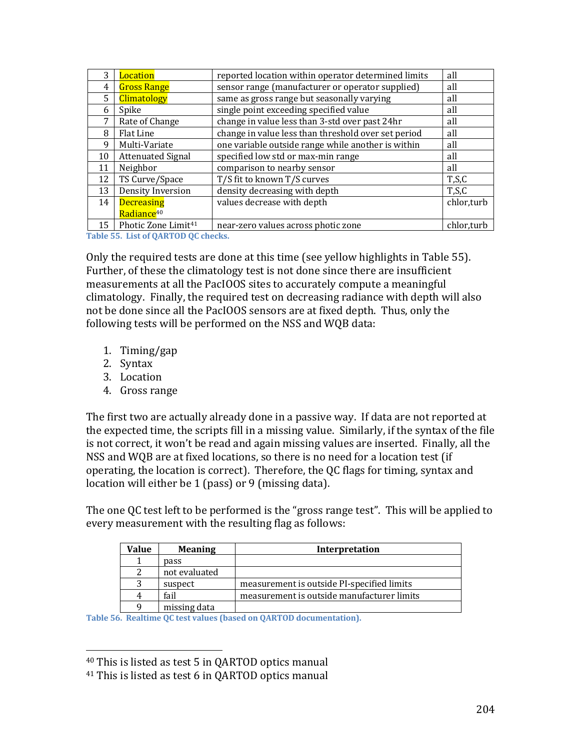|    | Location                        | reported location within operator determined limits | all        |
|----|---------------------------------|-----------------------------------------------------|------------|
| 4  | <b>Gross Range</b>              | sensor range (manufacturer or operator supplied)    | all        |
| 5. | <b>Climatology</b>              | same as gross range but seasonally varying          | all        |
| 6  | Spike                           | single point exceeding specified value              | all        |
| 7  | Rate of Change                  | change in value less than 3-std over past 24hr      | all        |
| 8  | <b>Flat Line</b>                | change in value less than threshold over set period | all        |
| 9  | Multi-Variate                   | one variable outside range while another is within  | all        |
| 10 | <b>Attenuated Signal</b>        | specified low std or max-min range                  | all        |
| 11 | Neighbor                        | comparison to nearby sensor                         | all        |
| 12 | TS Curve/Space                  | T/S fit to known T/S curves                         | T, S, C    |
| 13 | Density Inversion               | density decreasing with depth                       | T,S,C      |
| 14 | <b>Decreasing</b>               | values decrease with depth                          | chlor,turb |
|    | Radiance <sup>40</sup>          |                                                     |            |
| 15 | Photic Zone Limit <sup>41</sup> | near-zero values across photic zone                 | chlor,turb |

Table 55. List of QARTOD QC checks.

Only the required tests are done at this time (see yellow highlights in Table 55). Further, of these the climatology test is not done since there are insufficient measurements at all the PacIOOS sites to accurately compute a meaningful climatology. Finally, the required test on decreasing radiance with depth will also not be done since all the PacIOOS sensors are at fixed depth. Thus, only the following tests will be performed on the NSS and WQB data:

- 1. Timing/gap
- 2. Syntax
- 3. Location
- 4. Gross range

The first two are actually already done in a passive way. If data are not reported at the expected time, the scripts fill in a missing value. Similarly, if the syntax of the file is not correct, it won't be read and again missing values are inserted. Finally, all the NSS and WQB are at fixed locations, so there is no need for a location test (if operating, the location is correct). Therefore, the QC flags for timing, syntax and location will either be  $1$  (pass) or  $9$  (missing data).

The one QC test left to be performed is the "gross range test". This will be applied to every measurement with the resulting flag as follows:

| Value | <b>Meaning</b> | Interpretation                             |
|-------|----------------|--------------------------------------------|
|       | pass           |                                            |
|       | not evaluated  |                                            |
| 3     | suspect        | measurement is outside PI-specified limits |
|       | fail           | measurement is outside manufacturer limits |
| q     | missing data   |                                            |

Table 56. Realtime QC test values (based on QARTOD documentation).

 $40$  This is listed as test 5 in QARTOD optics manual

 $41$  This is listed as test 6 in QARTOD optics manual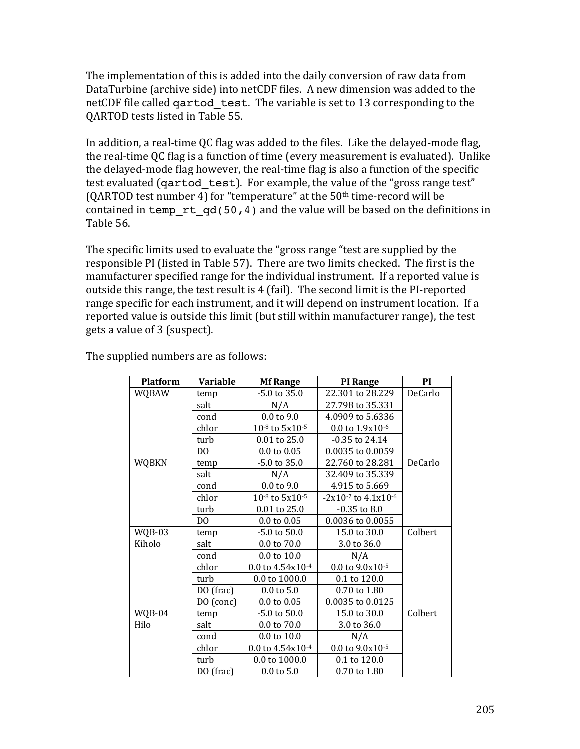The implementation of this is added into the daily conversion of raw data from DataTurbine (archive side) into netCDF files. A new dimension was added to the netCDF file called qartod test. The variable is set to 13 corresponding to the OARTOD tests listed in Table 55.

In addition, a real-time QC flag was added to the files. Like the delayed-mode flag, the real-time QC flag is a function of time (every measurement is evaluated). Unlike the delayed-mode flag however, the real-time flag is also a function of the specific test evaluated (qartod test). For example, the value of the "gross range test" (QARTOD test number 4) for "temperature" at the  $50<sup>th</sup>$  time-record will be contained in temp  $rt qd(50,4)$  and the value will be based on the definitions in Table 56.

The specific limits used to evaluate the "gross range "test are supplied by the responsible PI (listed in Table 57). There are two limits checked. The first is the manufacturer specified range for the individual instrument. If a reported value is outside this range, the test result is 4 (fail). The second limit is the PI-reported range specific for each instrument, and it will depend on instrument location. If a reported value is outside this limit (but still within manufacturer range), the test gets a value of 3 (suspect).

| <b>Platform</b> | Variable       | <b>Mf Range</b>          | <b>PI</b> Range               | PI      |
|-----------------|----------------|--------------------------|-------------------------------|---------|
| <b>WQBAW</b>    | temp           | $-5.0$ to 35.0           | 22.301 to 28.229              | DeCarlo |
|                 | salt           | N/A                      | 27.798 to 35.331              |         |
|                 | cond           | $0.0$ to $9.0$           | 4.0909 to 5.6336              |         |
|                 | chlor          | $10^{-8}$ to $5x10^{-5}$ | 0.0 to 1.9x10-6               |         |
|                 | turb           | 0.01 to 25.0             | $-0.35$ to 24.14              |         |
|                 | D <sub>0</sub> | $0.0 \text{ to } 0.05$   | 0.0035 to 0.0059              |         |
| <b>WQBKN</b>    | temp           | $-5.0$ to 35.0           | 22.760 to 28.281              | DeCarlo |
|                 | salt           | N/A                      | 32.409 to 35.339              |         |
|                 | cond           | $0.0 \text{ to } 9.0$    | 4.915 to 5.669                |         |
|                 | chlor          | $10^{-8}$ to $5x10^{-5}$ | $-2x10^{-7}$ to $4.1x10^{-6}$ |         |
|                 | turb           | $0.01$ to 25.0           | $-0.35$ to $8.0$              |         |
|                 | D <sub>0</sub> | $0.0 \text{ to } 0.05$   | 0.0036 to 0.0055              |         |
| WQB-03          | temp           | $-5.0$ to $50.0$         | 15.0 to 30.0                  | Colbert |
| Kiholo          | salt           | 0.0 to 70.0              | 3.0 to 36.0                   |         |
|                 | cond           | $0.0$ to $10.0$          | N/A                           |         |
|                 | chlor          | 0.0 to $4.54x10^{-4}$    | $0.0$ to $9.0x10^{-5}$        |         |
|                 | turb           | 0.0 to 1000.0            | 0.1 to 120.0                  |         |
|                 | DO (frac)      | $0.0 \text{ to } 5.0$    | 0.70 to 1.80                  |         |
|                 | DO (conc)      | $0.0 \text{ to } 0.05$   | 0.0035 to 0.0125              |         |
| WQB-04          | temp           | -5.0 to 50.0             | 15.0 to 30.0                  | Colbert |
| Hilo            | salt           | 0.0 to 70.0              | 3.0 to 36.0                   |         |
|                 | cond           | 0.0 to 10.0              | N/A                           |         |
|                 | chlor          | 0.0 to $4.54x10^{-4}$    | $0.0$ to $9.0x10^{-5}$        |         |
|                 | turb           | 0.0 to 1000.0            | 0.1 to 120.0                  |         |
|                 | DO (frac)      | $0.0 \text{ to } 5.0$    | 0.70 to 1.80                  |         |

The supplied numbers are as follows: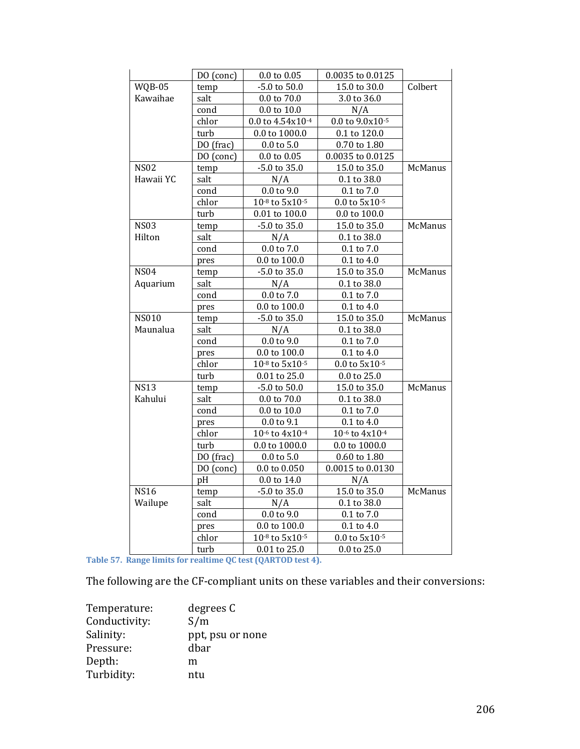|              | DO (conc) | $0.0$ to $0.05$          | 0.0035 to 0.0125       |                |
|--------------|-----------|--------------------------|------------------------|----------------|
| WQB-05       | temp      | -5.0 to 50.0             | 15.0 to 30.0           | Colbert        |
| Kawaihae     | salt      | $0.0$ to $70.0$          | 3.0 to 36.0            |                |
|              | cond      | $0.0$ to $10.0$          | N/A                    |                |
|              | chlor     | 0.0 to 4.54x10-4         | $0.0$ to $9.0x10^{-5}$ |                |
|              | turb      | 0.0 to 1000.0            | $0.1$ to $120.0\,$     |                |
|              | DO (frac) | $0.0$ to $5.0\,$         | 0.70 to 1.80           |                |
|              | DO (conc) | $0.0$ to $0.05\,$        | $0.0035$ to $0.0125$   |                |
| <b>NS02</b>  | temp      | -5.0 to 35.0             | 15.0 to 35.0           | McManus        |
| Hawaii YC    | salt      | N/A                      | $0.1$ to $38.0\,$      |                |
|              | cond      | $0.0$ to $9.0$           | $0.1$ to $7.0\,$       |                |
|              | chlor     | 10-8 to 5x10-5           | $0.0$ to $5x10^{-5}$   |                |
|              | turb      | 0.01 to 100.0            | 0.0 to 100.0           |                |
| <b>NS03</b>  | temp      | -5.0 to 35.0             | 15.0 to 35.0           | McManus        |
| Hilton       | salt      | N/A                      | 0.1 to 38.0            |                |
|              | cond      | $0.0$ to $7.0\,$         | $0.1$ to $7.0\,$       |                |
|              | pres      | $0.0$ to $100.0$         | $0.1$ to $4.0$         |                |
| <b>NS04</b>  | temp      | $-5.0$ to 35.0           | 15.0 to 35.0           | McManus        |
| Aquarium     | salt      | N/A                      | 0.1 to 38.0            |                |
|              | cond      | $0.0$ to $7.0\,$         | $0.1$ to $7.0\,$       |                |
|              | pres      | $0.0$ to $100.0$         | $0.1$ to $4.0\,$       |                |
| <b>NS010</b> | temp      | $-5.0$ to 35.0           | 15.0 to 35.0           | McManus        |
| Maunalua     | salt      | N/A                      | 0.1 to 38.0            |                |
|              | cond      | $0.0$ to $9.0\,$         | $0.1$ to $7.0\,$       |                |
|              | pres      | 0.0 to 100.0             | $0.1$ to $4.0\,$       |                |
|              | chlor     | 10-8 to 5x10-5           | $0.0$ to $5x10-5$      |                |
|              | turb      | 0.01 to 25.0             | 0.0 to 25.0            |                |
| <b>NS13</b>  | temp      | $-5.0$ to $50.0$         | 15.0 to 35.0           | <b>McManus</b> |
| Kahului      | salt      | 0.0 to 70.0              | 0.1 to 38.0            |                |
|              | cond      | $0.0$ to $10.0$          | $0.1$ to $7.0\,$       |                |
|              | pres      | 0.0 to 9.1               | $0.1$ to $4.0$         |                |
|              | chlor     | 10-6 to 4x10-4           | 10-6 to 4x10-4         |                |
|              | turb      | 0.0 to 1000.0            | 0.0 to 1000.0          |                |
|              | DO (frac) | $0.0$ to $5.0\,$         | 0.60 to 1.80           |                |
|              | DO (conc) | $0.0$ to $0.050$         | 0.0015 to 0.0130       |                |
|              | pH        | $0.0$ to $14.0\,$        | N/A                    |                |
| <b>NS16</b>  | temp      | -5.0 to 35.0             | 15.0 to 35.0           | McManus        |
| Wailupe      | salt      | N/A                      | 0.1 to 38.0            |                |
|              | cond      | $0.0$ to $9.0\,$         | $0.1$ to $7.0\,$       |                |
|              | pres      | $0.0$ to $100.0$         | $0.1$ to $4.0\,$       |                |
|              | chlor     | $10^{-8}$ to $5x10^{-5}$ | $0.0$ to $5x10^{-5}$   |                |
|              | turb      | 0.01 to 25.0             | 0.0 to 25.0            |                |
|              |           |                          |                        |                |

Table 57. Range limits for realtime QC test (QARTOD test 4).

The following are the CF-compliant units on these variables and their conversions:

| Temperature:  | degrees C        |
|---------------|------------------|
| Conductivity: | S/m              |
| Salinity:     | ppt, psu or none |
| Pressure:     | dbar             |
| Depth:        | m                |
| Turbidity:    | ntu              |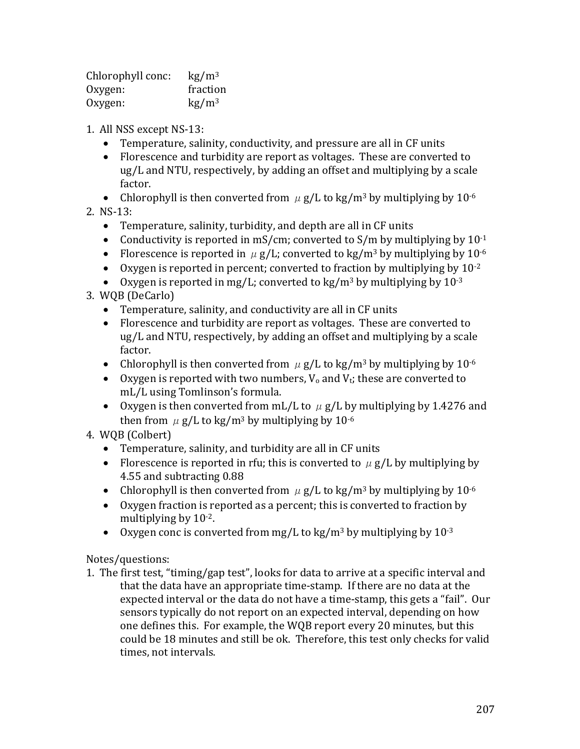| Chlorophyll conc: | $\text{kg}/\text{m}^3$ |
|-------------------|------------------------|
| Oxygen:           | fraction               |
| Oxygen:           | $\text{kg}/\text{m}^3$ |

- 1. All NSS except NS-13:
	- Temperature, salinity, conductivity, and pressure are all in CF units
	- Florescence and turbidity are report as voltages. These are converted to ug/L and NTU, respectively, by adding an offset and multiplying by a scale factor.
	- Chlorophyll is then converted from  $\mu$  g/L to kg/m<sup>3</sup> by multiplying by 10<sup>-6</sup>
- 2. NS-13:
	- Temperature, salinity, turbidity, and depth are all in CF units
	- Conductivity is reported in mS/cm; converted to  $S/m$  by multiplying by  $10^{-1}$
	- Florescence is reported in  $\mu$  g/L; converted to kg/m<sup>3</sup> by multiplying by 10<sup>-6</sup>
	- Oxygen is reported in percent; converted to fraction by multiplying by  $10^{-2}$
	- Oxygen is reported in mg/L; converted to kg/m<sup>3</sup> by multiplying by  $10^{-3}$
- 3. WQB (DeCarlo)
	- Temperature, salinity, and conductivity are all in CF units
	- Florescence and turbidity are report as voltages. These are converted to ug/L and NTU, respectively, by adding an offset and multiplying by a scale factor.
	- Chlorophyll is then converted from  $\mu$  g/L to kg/m<sup>3</sup> by multiplying by 10<sup>-6</sup>
	- Oxygen is reported with two numbers,  $V_0$  and  $V_t$ ; these are converted to mL/L using Tomlinson's formula.
	- Oxygen is then converted from mL/L to  $\mu$  g/L by multiplying by 1.4276 and then from  $\mu$  g/L to kg/m<sup>3</sup> by multiplying by 10<sup>-6</sup>
- 4. WQB (Colbert)
	- Temperature, salinity, and turbidity are all in CF units
	- Florescence is reported in rfu; this is converted to  $\mu$  g/L by multiplying by 4.55 and subtracting 0.88
	- Chlorophyll is then converted from  $\mu$  g/L to kg/m<sup>3</sup> by multiplying by 10<sup>-6</sup>
	- Oxygen fraction is reported as a percent; this is converted to fraction by multiplying by  $10^{-2}$ .
	- Oxygen conc is converted from mg/L to kg/m<sup>3</sup> by multiplying by  $10^{-3}$

## Notes/questions:

1. The first test, "timing/gap test", looks for data to arrive at a specific interval and that the data have an appropriate time-stamp. If there are no data at the expected interval or the data do not have a time-stamp, this gets a "fail". Our sensors typically do not report on an expected interval, depending on how one defines this. For example, the WQB report every 20 minutes, but this could be 18 minutes and still be ok. Therefore, this test only checks for valid times, not intervals.